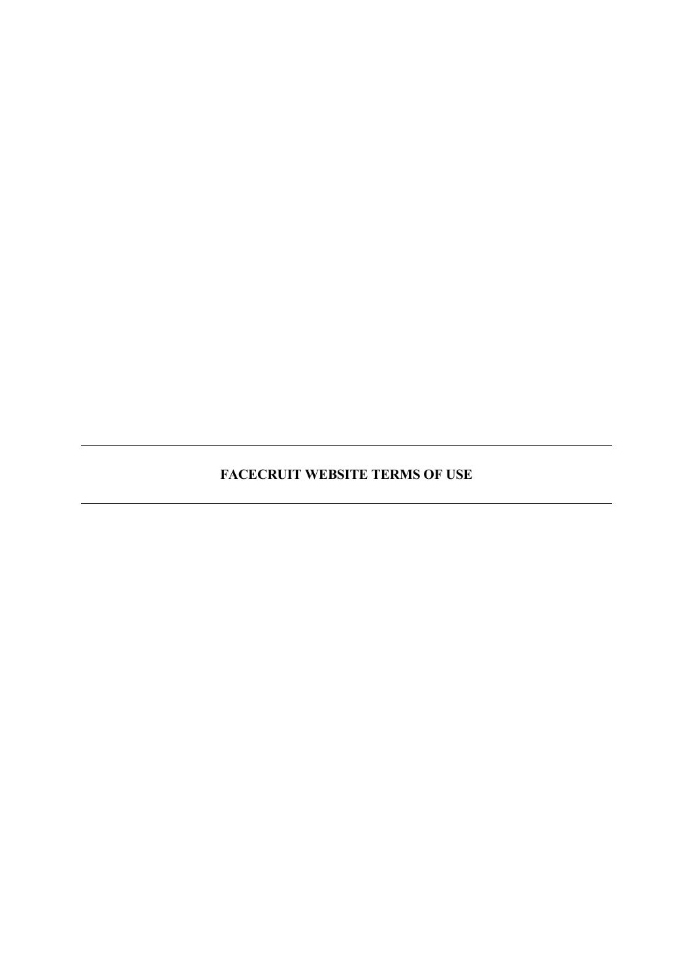**FACECRUIT WEBSITE TERMS OF USE**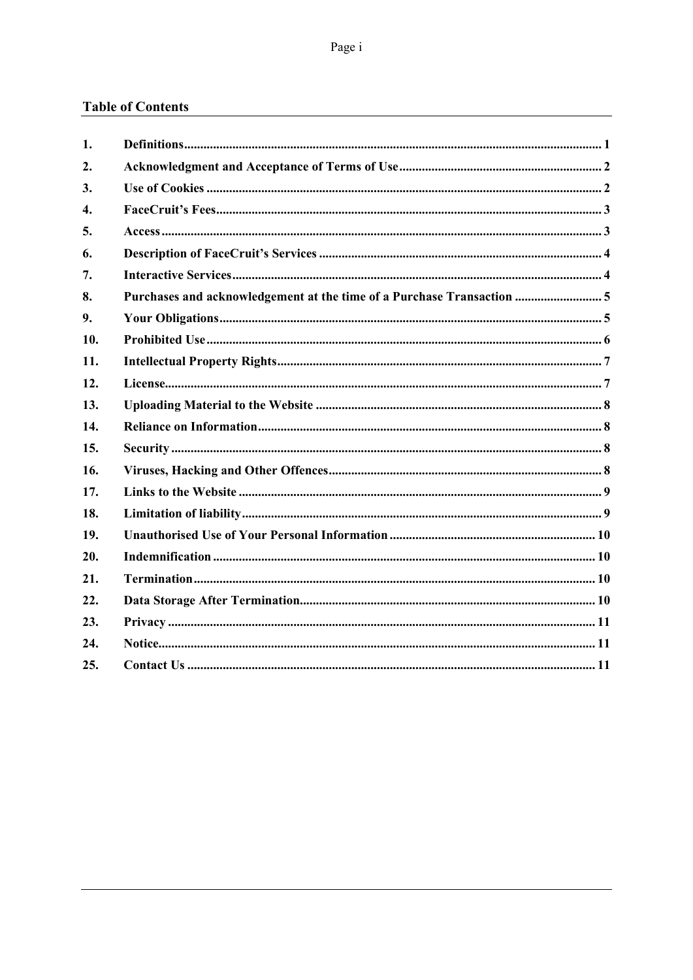# **Table of Contents**

| 1.                 |                                                                        |
|--------------------|------------------------------------------------------------------------|
| 2.                 |                                                                        |
| 3.                 |                                                                        |
| $\boldsymbol{4}$ . |                                                                        |
| 5.                 |                                                                        |
| 6.                 |                                                                        |
| 7.                 |                                                                        |
| 8.                 | Purchases and acknowledgement at the time of a Purchase Transaction  5 |
| 9.                 |                                                                        |
| 10.                |                                                                        |
| 11.                |                                                                        |
| 12.                |                                                                        |
| 13.                |                                                                        |
| 14.                |                                                                        |
| 15.                |                                                                        |
| 16.                |                                                                        |
| 17.                |                                                                        |
| 18.                |                                                                        |
| 19.                |                                                                        |
| 20.                |                                                                        |
| 21.                |                                                                        |
| 22.                |                                                                        |
| 23.                |                                                                        |
| 24.                |                                                                        |
| 25.                |                                                                        |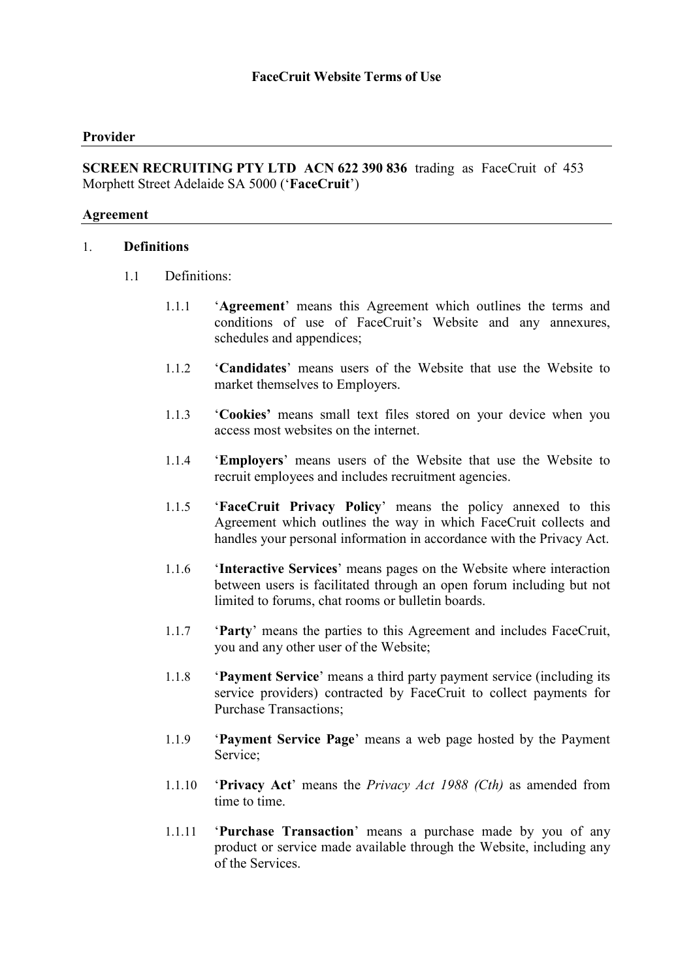### **Provider**

**SCREEN RECRUITING PTY LTD ACN 622 390 836** trading as FaceCruit of 453 Morphett Street Adelaide SA 5000 ('**FaceCruit**')

#### **Agreement**

#### 1. **Definitions**

- 1.1 Definitions:
	- 1.1.1 '**Agreement**' means this Agreement which outlines the terms and conditions of use of FaceCruit's Website and any annexures, schedules and appendices;
	- 1.1.2 '**Candidates**' means users of the Website that use the Website to market themselves to Employers.
	- 1.1.3 '**Cookies'** means small text files stored on your device when you access most websites on the internet.
	- 1.1.4 '**Employers**' means users of the Website that use the Website to recruit employees and includes recruitment agencies.
	- 1.1.5 '**FaceCruit Privacy Policy**' means the policy annexed to this Agreement which outlines the way in which FaceCruit collects and handles your personal information in accordance with the Privacy Act.
	- 1.1.6 '**Interactive Services**' means pages on the Website where interaction between users is facilitated through an open forum including but not limited to forums, chat rooms or bulletin boards.
	- 1.1.7 '**Party**' means the parties to this Agreement and includes FaceCruit, you and any other user of the Website;
	- 1.1.8 '**Payment Service**' means a third party payment service (including its service providers) contracted by FaceCruit to collect payments for Purchase Transactions;
	- 1.1.9 '**Payment Service Page**' means a web page hosted by the Payment Service;
	- 1.1.10 '**Privacy Act**' means the *Privacy Act 1988 (Cth)* as amended from time to time.
	- 1.1.11 '**Purchase Transaction**' means a purchase made by you of any product or service made available through the Website, including any of the Services.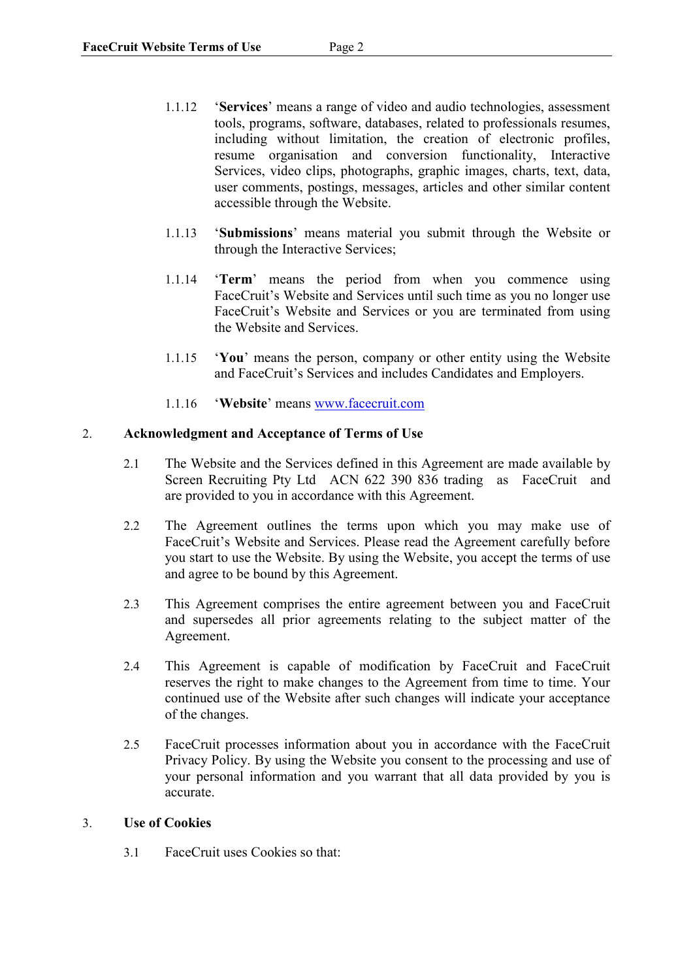- 1.1.12 '**Services**' means a range of video and audio technologies, assessment tools, programs, software, databases, related to professionals resumes, including without limitation, the creation of electronic profiles, resume organisation and conversion functionality, Interactive Services, video clips, photographs, graphic images, charts, text, data, user comments, postings, messages, articles and other similar content accessible through the Website.
- 1.1.13 '**Submissions**' means material you submit through the Website or through the Interactive Services;
- 1.1.14 '**Term**' means the period from when you commence using FaceCruit's Website and Services until such time as you no longer use FaceCruit's Website and Services or you are terminated from using the Website and Services.
- 1.1.15 '**You**' means the person, company or other entity using the Website and FaceCruit's Services and includes Candidates and Employers.
- 1.1.16 '**Website**' means www.facecruit.com

### 2. **Acknowledgment and Acceptance of Terms of Use**

- 2.1 The Website and the Services defined in this Agreement are made available by Screen Recruiting Pty Ltd ACN 622 390 836 trading as FaceCruit and are provided to you in accordance with this Agreement.
- 2.2 The Agreement outlines the terms upon which you may make use of FaceCruit's Website and Services. Please read the Agreement carefully before you start to use the Website. By using the Website, you accept the terms of use and agree to be bound by this Agreement.
- 2.3 This Agreement comprises the entire agreement between you and FaceCruit and supersedes all prior agreements relating to the subject matter of the Agreement.
- 2.4 This Agreement is capable of modification by FaceCruit and FaceCruit reserves the right to make changes to the Agreement from time to time. Your continued use of the Website after such changes will indicate your acceptance of the changes.
- 2.5 FaceCruit processes information about you in accordance with the FaceCruit Privacy Policy. By using the Website you consent to the processing and use of your personal information and you warrant that all data provided by you is accurate.

### 3. **Use of Cookies**

3.1 FaceCruit uses Cookies so that: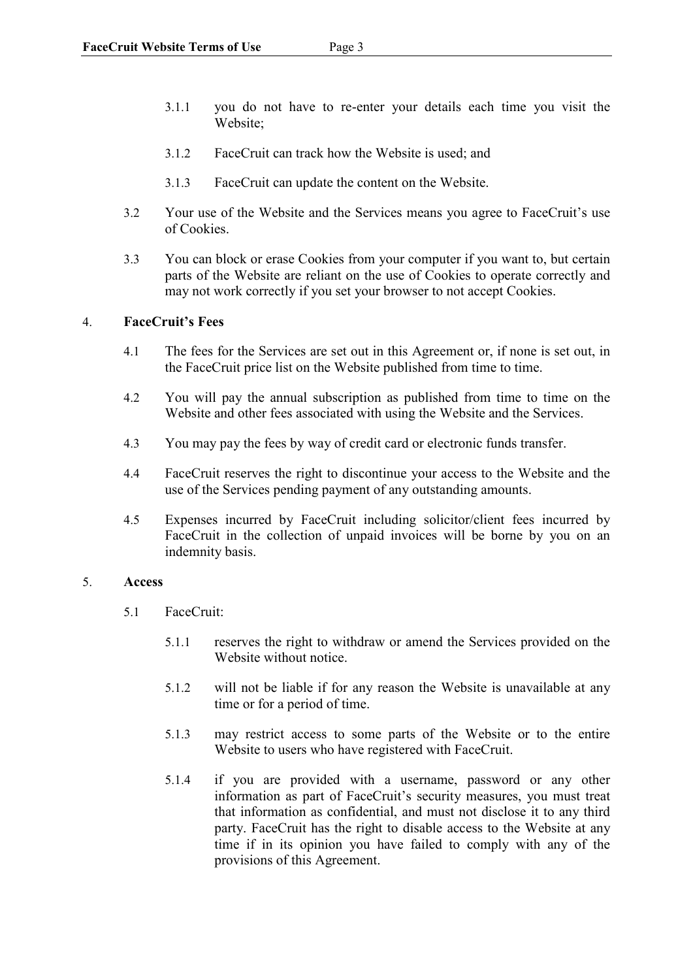- 3.1.1 you do not have to re-enter your details each time you visit the Website;
- 3.1.2 FaceCruit can track how the Website is used; and
- 3.1.3 FaceCruit can update the content on the Website.
- 3.2 Your use of the Website and the Services means you agree to FaceCruit's use of Cookies.
- 3.3 You can block or erase Cookies from your computer if you want to, but certain parts of the Website are reliant on the use of Cookies to operate correctly and may not work correctly if you set your browser to not accept Cookies.

### 4. **FaceCruit's Fees**

- 4.1 The fees for the Services are set out in this Agreement or, if none is set out, in the FaceCruit price list on the Website published from time to time.
- 4.2 You will pay the annual subscription as published from time to time on the Website and other fees associated with using the Website and the Services.
- 4.3 You may pay the fees by way of credit card or electronic funds transfer.
- 4.4 FaceCruit reserves the right to discontinue your access to the Website and the use of the Services pending payment of any outstanding amounts.
- 4.5 Expenses incurred by FaceCruit including solicitor/client fees incurred by FaceCruit in the collection of unpaid invoices will be borne by you on an indemnity basis.

### 5. **Access**

- 5.1 FaceCruit:
	- 5.1.1 reserves the right to withdraw or amend the Services provided on the Website without notice
	- 5.1.2 will not be liable if for any reason the Website is unavailable at any time or for a period of time.
	- 5.1.3 may restrict access to some parts of the Website or to the entire Website to users who have registered with FaceCruit.
	- 5.1.4 if you are provided with a username, password or any other information as part of FaceCruit's security measures, you must treat that information as confidential, and must not disclose it to any third party. FaceCruit has the right to disable access to the Website at any time if in its opinion you have failed to comply with any of the provisions of this Agreement.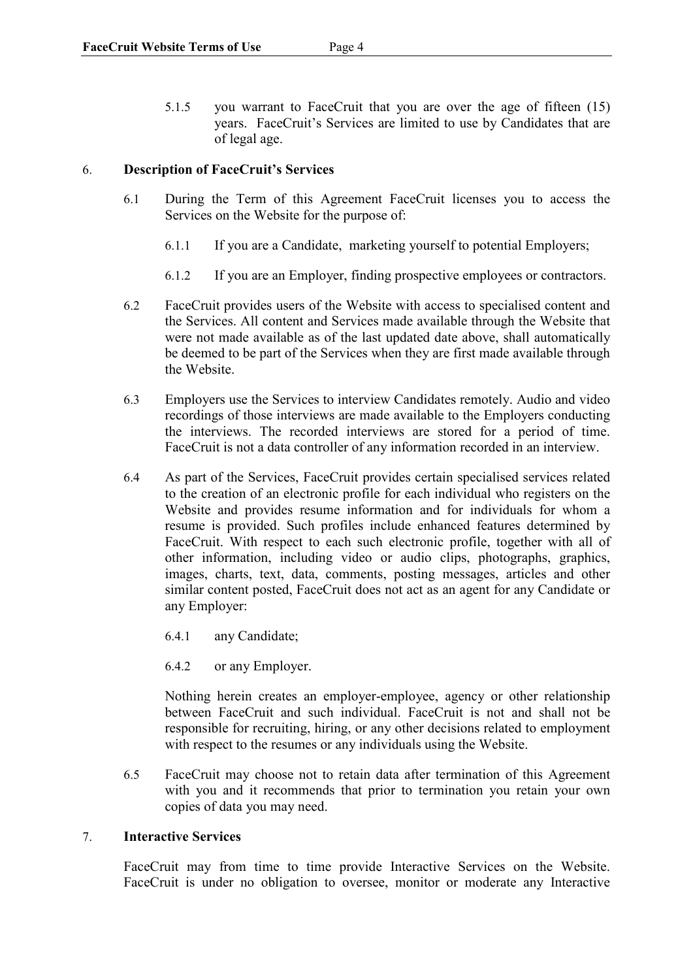5.1.5 you warrant to FaceCruit that you are over the age of fifteen (15) years. FaceCruit's Services are limited to use by Candidates that are of legal age.

### 6. **Description of FaceCruit's Services**

- 6.1 During the Term of this Agreement FaceCruit licenses you to access the Services on the Website for the purpose of:
	- 6.1.1 If you are a Candidate, marketing yourself to potential Employers;
	- 6.1.2 If you are an Employer, finding prospective employees or contractors.
- 6.2 FaceCruit provides users of the Website with access to specialised content and the Services. All content and Services made available through the Website that were not made available as of the last updated date above, shall automatically be deemed to be part of the Services when they are first made available through the Website.
- 6.3 Employers use the Services to interview Candidates remotely. Audio and video recordings of those interviews are made available to the Employers conducting the interviews. The recorded interviews are stored for a period of time. FaceCruit is not a data controller of any information recorded in an interview.
- 6.4 As part of the Services, FaceCruit provides certain specialised services related to the creation of an electronic profile for each individual who registers on the Website and provides resume information and for individuals for whom a resume is provided. Such profiles include enhanced features determined by FaceCruit. With respect to each such electronic profile, together with all of other information, including video or audio clips, photographs, graphics, images, charts, text, data, comments, posting messages, articles and other similar content posted, FaceCruit does not act as an agent for any Candidate or any Employer:
	- 6.4.1 any Candidate;
	- 6.4.2 or any Employer.

Nothing herein creates an employer-employee, agency or other relationship between FaceCruit and such individual. FaceCruit is not and shall not be responsible for recruiting, hiring, or any other decisions related to employment with respect to the resumes or any individuals using the Website.

6.5 FaceCruit may choose not to retain data after termination of this Agreement with you and it recommends that prior to termination you retain your own copies of data you may need.

### 7. **Interactive Services**

FaceCruit may from time to time provide Interactive Services on the Website. FaceCruit is under no obligation to oversee, monitor or moderate any Interactive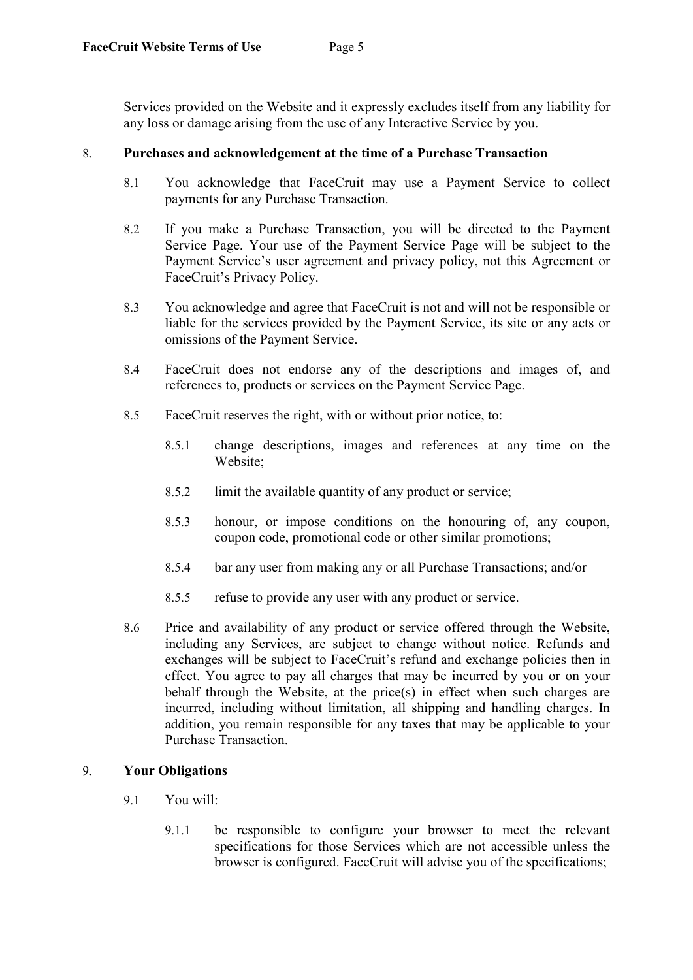Services provided on the Website and it expressly excludes itself from any liability for any loss or damage arising from the use of any Interactive Service by you.

### 8. **Purchases and acknowledgement at the time of a Purchase Transaction**

- 8.1 You acknowledge that FaceCruit may use a Payment Service to collect payments for any Purchase Transaction.
- 8.2 If you make a Purchase Transaction, you will be directed to the Payment Service Page. Your use of the Payment Service Page will be subject to the Payment Service's user agreement and privacy policy, not this Agreement or FaceCruit's Privacy Policy.
- 8.3 You acknowledge and agree that FaceCruit is not and will not be responsible or liable for the services provided by the Payment Service, its site or any acts or omissions of the Payment Service.
- 8.4 FaceCruit does not endorse any of the descriptions and images of, and references to, products or services on the Payment Service Page.
- 8.5 FaceCruit reserves the right, with or without prior notice, to:
	- 8.5.1 change descriptions, images and references at any time on the Website;
	- 8.5.2 limit the available quantity of any product or service;
	- 8.5.3 honour, or impose conditions on the honouring of, any coupon, coupon code, promotional code or other similar promotions;
	- 8.5.4 bar any user from making any or all Purchase Transactions; and/or
	- 8.5.5 refuse to provide any user with any product or service.
- 8.6 Price and availability of any product or service offered through the Website, including any Services, are subject to change without notice. Refunds and exchanges will be subject to FaceCruit's refund and exchange policies then in effect. You agree to pay all charges that may be incurred by you or on your behalf through the Website, at the price(s) in effect when such charges are incurred, including without limitation, all shipping and handling charges. In addition, you remain responsible for any taxes that may be applicable to your Purchase Transaction.

### 9. **Your Obligations**

- 9.1 You will:
	- 9.1.1 be responsible to configure your browser to meet the relevant specifications for those Services which are not accessible unless the browser is configured. FaceCruit will advise you of the specifications;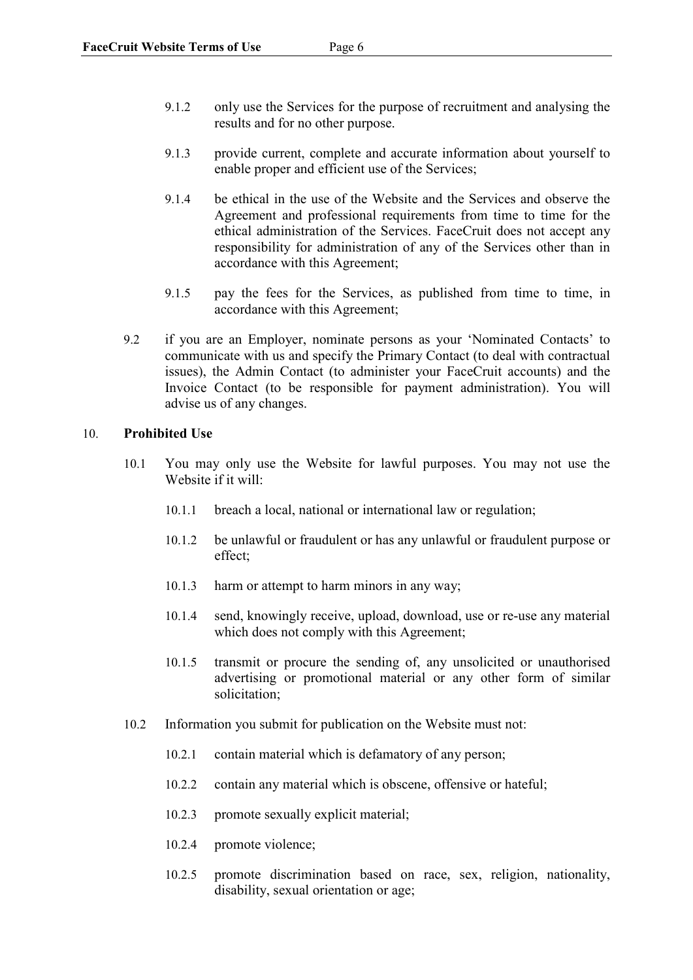- 9.1.2 only use the Services for the purpose of recruitment and analysing the results and for no other purpose.
- 9.1.3 provide current, complete and accurate information about yourself to enable proper and efficient use of the Services;
- 9.1.4 be ethical in the use of the Website and the Services and observe the Agreement and professional requirements from time to time for the ethical administration of the Services. FaceCruit does not accept any responsibility for administration of any of the Services other than in accordance with this Agreement;
- 9.1.5 pay the fees for the Services, as published from time to time, in accordance with this Agreement;
- 9.2 if you are an Employer, nominate persons as your 'Nominated Contacts' to communicate with us and specify the Primary Contact (to deal with contractual issues), the Admin Contact (to administer your FaceCruit accounts) and the Invoice Contact (to be responsible for payment administration). You will advise us of any changes.

### 10. **Prohibited Use**

- 10.1 You may only use the Website for lawful purposes. You may not use the Website if it will:
	- 10.1.1 breach a local, national or international law or regulation;
	- 10.1.2 be unlawful or fraudulent or has any unlawful or fraudulent purpose or effect;
	- 10.1.3 harm or attempt to harm minors in any way;
	- 10.1.4 send, knowingly receive, upload, download, use or re-use any material which does not comply with this Agreement;
	- 10.1.5 transmit or procure the sending of, any unsolicited or unauthorised advertising or promotional material or any other form of similar solicitation;
- 10.2 Information you submit for publication on the Website must not:
	- 10.2.1 contain material which is defamatory of any person;
	- 10.2.2 contain any material which is obscene, offensive or hateful;
	- 10.2.3 promote sexually explicit material;
	- 10.2.4 promote violence;
	- 10.2.5 promote discrimination based on race, sex, religion, nationality, disability, sexual orientation or age;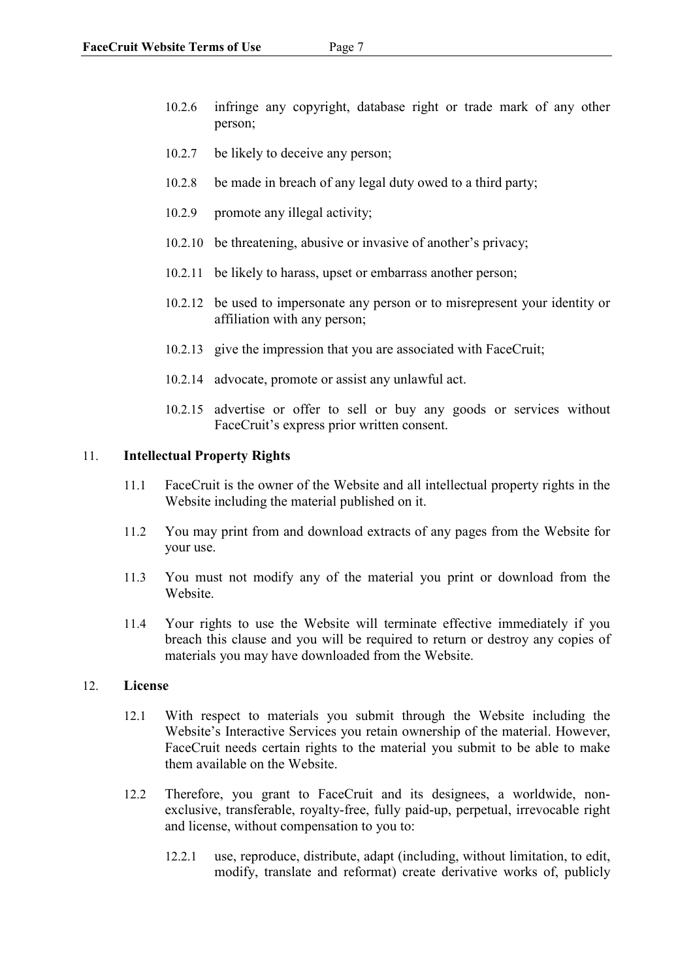- 10.2.6 infringe any copyright, database right or trade mark of any other person;
- 10.2.7 be likely to deceive any person;
- 10.2.8 be made in breach of any legal duty owed to a third party;
- 10.2.9 promote any illegal activity;
- 10.2.10 be threatening, abusive or invasive of another's privacy;
- 10.2.11 be likely to harass, upset or embarrass another person;
- 10.2.12 be used to impersonate any person or to misrepresent your identity or affiliation with any person;
- 10.2.13 give the impression that you are associated with FaceCruit;
- 10.2.14 advocate, promote or assist any unlawful act.
- 10.2.15 advertise or offer to sell or buy any goods or services without FaceCruit's express prior written consent.

#### 11. **Intellectual Property Rights**

- 11.1 FaceCruit is the owner of the Website and all intellectual property rights in the Website including the material published on it.
- 11.2 You may print from and download extracts of any pages from the Website for your use.
- 11.3 You must not modify any of the material you print or download from the Website.
- 11.4 Your rights to use the Website will terminate effective immediately if you breach this clause and you will be required to return or destroy any copies of materials you may have downloaded from the Website.

### 12. **License**

- 12.1 With respect to materials you submit through the Website including the Website's Interactive Services you retain ownership of the material. However, FaceCruit needs certain rights to the material you submit to be able to make them available on the Website.
- 12.2 Therefore, you grant to FaceCruit and its designees, a worldwide, nonexclusive, transferable, royalty-free, fully paid-up, perpetual, irrevocable right and license, without compensation to you to:
	- 12.2.1 use, reproduce, distribute, adapt (including, without limitation, to edit, modify, translate and reformat) create derivative works of, publicly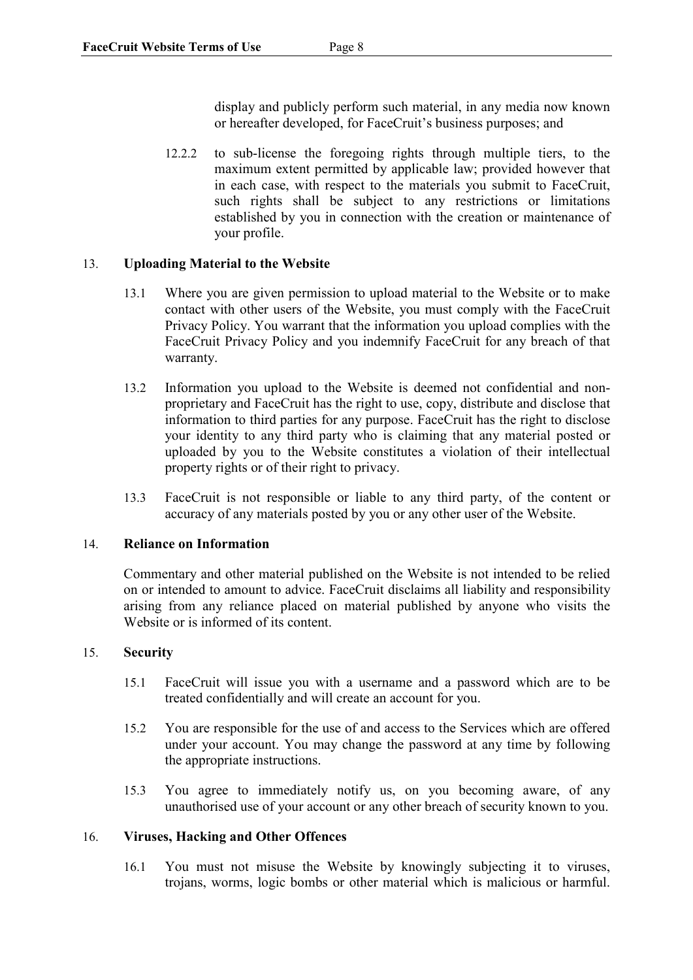display and publicly perform such material, in any media now known or hereafter developed, for FaceCruit's business purposes; and

12.2.2 to sub-license the foregoing rights through multiple tiers, to the maximum extent permitted by applicable law; provided however that in each case, with respect to the materials you submit to FaceCruit, such rights shall be subject to any restrictions or limitations established by you in connection with the creation or maintenance of your profile.

## 13. **Uploading Material to the Website**

- 13.1 Where you are given permission to upload material to the Website or to make contact with other users of the Website, you must comply with the FaceCruit Privacy Policy. You warrant that the information you upload complies with the FaceCruit Privacy Policy and you indemnify FaceCruit for any breach of that warranty.
- 13.2 Information you upload to the Website is deemed not confidential and nonproprietary and FaceCruit has the right to use, copy, distribute and disclose that information to third parties for any purpose. FaceCruit has the right to disclose your identity to any third party who is claiming that any material posted or uploaded by you to the Website constitutes a violation of their intellectual property rights or of their right to privacy.
- 13.3 FaceCruit is not responsible or liable to any third party, of the content or accuracy of any materials posted by you or any other user of the Website.

## 14. **Reliance on Information**

Commentary and other material published on the Website is not intended to be relied on or intended to amount to advice. FaceCruit disclaims all liability and responsibility arising from any reliance placed on material published by anyone who visits the Website or is informed of its content.

## 15. **Security**

- 15.1 FaceCruit will issue you with a username and a password which are to be treated confidentially and will create an account for you.
- 15.2 You are responsible for the use of and access to the Services which are offered under your account. You may change the password at any time by following the appropriate instructions.
- 15.3 You agree to immediately notify us, on you becoming aware, of any unauthorised use of your account or any other breach of security known to you.

### 16. **Viruses, Hacking and Other Offences**

16.1 You must not misuse the Website by knowingly subjecting it to viruses, trojans, worms, logic bombs or other material which is malicious or harmful.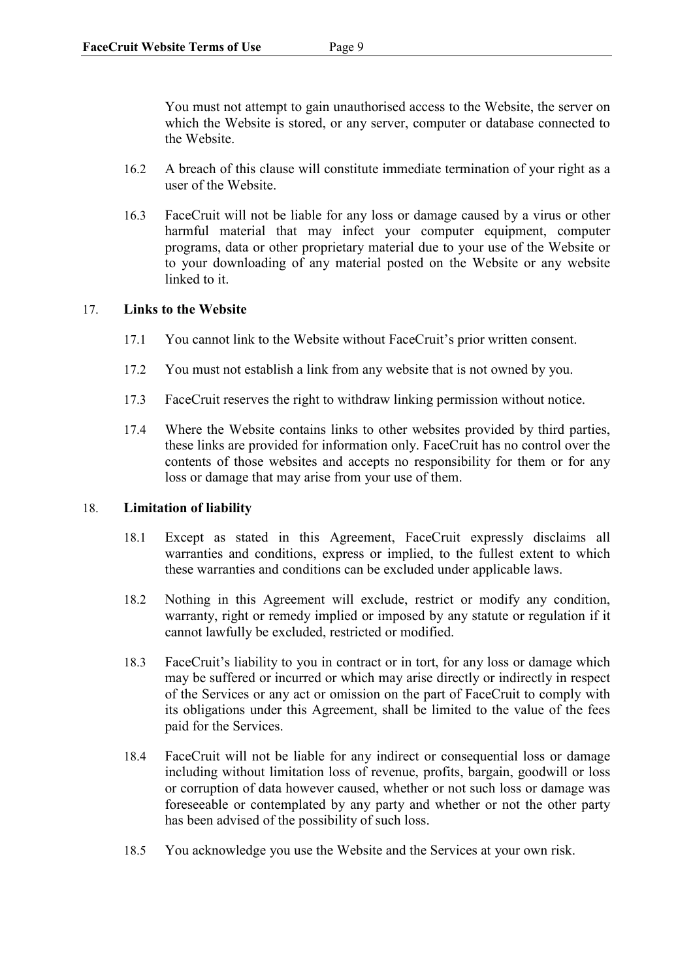You must not attempt to gain unauthorised access to the Website, the server on which the Website is stored, or any server, computer or database connected to the Website.

- 16.2 A breach of this clause will constitute immediate termination of your right as a user of the Website.
- 16.3 FaceCruit will not be liable for any loss or damage caused by a virus or other harmful material that may infect your computer equipment, computer programs, data or other proprietary material due to your use of the Website or to your downloading of any material posted on the Website or any website linked to it.

### 17. **Links to the Website**

- 17.1 You cannot link to the Website without FaceCruit's prior written consent.
- 17.2 You must not establish a link from any website that is not owned by you.
- 17.3 FaceCruit reserves the right to withdraw linking permission without notice.
- 17.4 Where the Website contains links to other websites provided by third parties, these links are provided for information only. FaceCruit has no control over the contents of those websites and accepts no responsibility for them or for any loss or damage that may arise from your use of them.

### 18. **Limitation of liability**

- 18.1 Except as stated in this Agreement, FaceCruit expressly disclaims all warranties and conditions, express or implied, to the fullest extent to which these warranties and conditions can be excluded under applicable laws.
- 18.2 Nothing in this Agreement will exclude, restrict or modify any condition, warranty, right or remedy implied or imposed by any statute or regulation if it cannot lawfully be excluded, restricted or modified.
- 18.3 FaceCruit's liability to you in contract or in tort, for any loss or damage which may be suffered or incurred or which may arise directly or indirectly in respect of the Services or any act or omission on the part of FaceCruit to comply with its obligations under this Agreement, shall be limited to the value of the fees paid for the Services.
- 18.4 FaceCruit will not be liable for any indirect or consequential loss or damage including without limitation loss of revenue, profits, bargain, goodwill or loss or corruption of data however caused, whether or not such loss or damage was foreseeable or contemplated by any party and whether or not the other party has been advised of the possibility of such loss.
- 18.5 You acknowledge you use the Website and the Services at your own risk.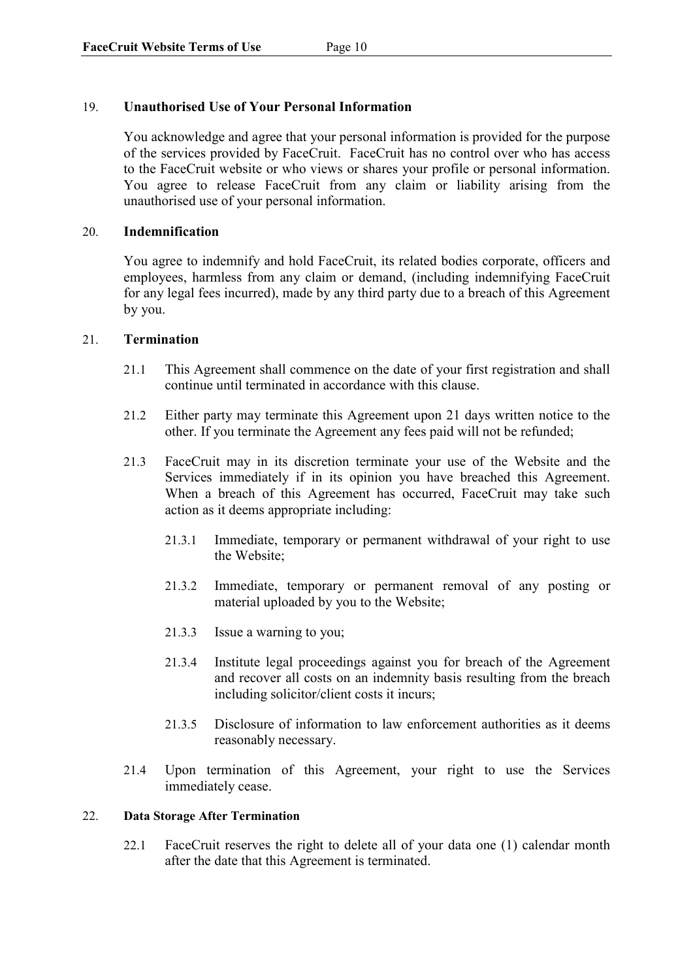### 19. **Unauthorised Use of Your Personal Information**

You acknowledge and agree that your personal information is provided for the purpose of the services provided by FaceCruit. FaceCruit has no control over who has access to the FaceCruit website or who views or shares your profile or personal information. You agree to release FaceCruit from any claim or liability arising from the unauthorised use of your personal information.

### 20. **Indemnification**

You agree to indemnify and hold FaceCruit, its related bodies corporate, officers and employees, harmless from any claim or demand, (including indemnifying FaceCruit for any legal fees incurred), made by any third party due to a breach of this Agreement by you.

### 21. **Termination**

- 21.1 This Agreement shall commence on the date of your first registration and shall continue until terminated in accordance with this clause.
- 21.2 Either party may terminate this Agreement upon 21 days written notice to the other. If you terminate the Agreement any fees paid will not be refunded;
- 21.3 FaceCruit may in its discretion terminate your use of the Website and the Services immediately if in its opinion you have breached this Agreement. When a breach of this Agreement has occurred, FaceCruit may take such action as it deems appropriate including:
	- 21.3.1 Immediate, temporary or permanent withdrawal of your right to use the Website;
	- 21.3.2 Immediate, temporary or permanent removal of any posting or material uploaded by you to the Website;
	- 21.3.3 Issue a warning to you;
	- 21.3.4 Institute legal proceedings against you for breach of the Agreement and recover all costs on an indemnity basis resulting from the breach including solicitor/client costs it incurs;
	- 21.3.5 Disclosure of information to law enforcement authorities as it deems reasonably necessary.
- 21.4 Upon termination of this Agreement, your right to use the Services immediately cease.

### 22. **Data Storage After Termination**

22.1 FaceCruit reserves the right to delete all of your data one (1) calendar month after the date that this Agreement is terminated.